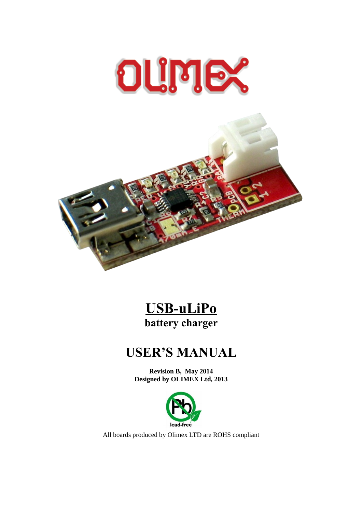

# **USB-uLiPo battery charger**

# **USER'S MANUAL**

**Revision B, May 2014 Designed by OLIMEX Ltd, 2013**



All boards produced by Olimex LTD are ROHS compliant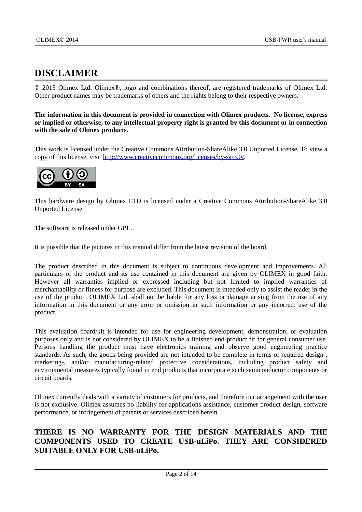## <span id="page-1-0"></span>**DISCLAIMER**

© 2013 Olimex Ltd. Olimex®, logo and combinations thereof, are registered trademarks of Olimex Ltd. Other product names may be trademarks of others and the rights belong to their respective owners.

**The information in this document is provided in connection with Olimex products. No license, express or implied or otherwise, to any intellectual property right is granted by this document or in connection with the sale of Olimex products.**

This work is licensed under the Creative Commons Attribution-ShareAlike 3.0 Unported License. To view a copy of this license, visit [http://www.creativecommons.org/licenses/by-sa/3.0/.](http://www.creativecommons.org/licenses/by-sa/3.0/)



This hardware design by Olimex LTD is licensed under a Creative Commons Attribution-ShareAlike 3.0 Unported License.

The software is released under GPL.

It is possible that the pictures in this manual differ from the latest revision of the board.

The product described in this document is subject to continuous development and improvements. All particulars of the product and its use contained in this document are given by OLIMEX in good faith. However all warranties implied or expressed including but not limited to implied warranties of merchantability or fitness for purpose are excluded. This document is intended only to assist the reader in the use of the product. OLIMEX Ltd. shall not be liable for any loss or damage arising from the use of any information in this document or any error or omission in such information or any incorrect use of the product.

This evaluation board/kit is intended for use for engineering development, demonstration, or evaluation purposes only and is not considered by OLIMEX to be a finished end-product fit for general consumer use. Persons handling the product must have electronics training and observe good engineering practice standards. As such, the goods being provided are not intended to be complete in terms of required design-, marketing-, and/or manufacturing-related protective considerations, including product safety and environmental measures typically found in end products that incorporate such semiconductor components or circuit boards.

Olimex currently deals with a variety of customers for products, and therefore our arrangement with the user is not exclusive. Olimex assumes no liability for applications assistance, customer product design, software performance, or infringement of patents or services described herein.

#### **THERE IS NO WARRANTY FOR THE DESIGN MATERIALS AND THE COMPONENTS USED TO CREATE USB-uLiPo. THEY ARE CONSIDERED SUITABLE ONLY FOR USB-uLiPo.**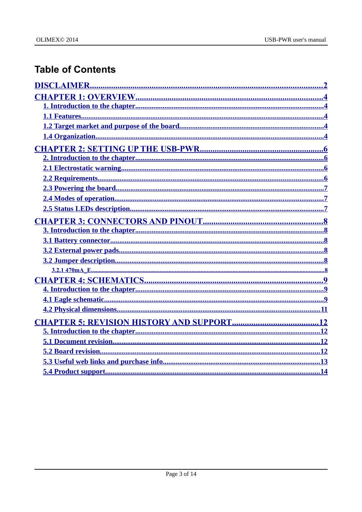# **Table of Contents**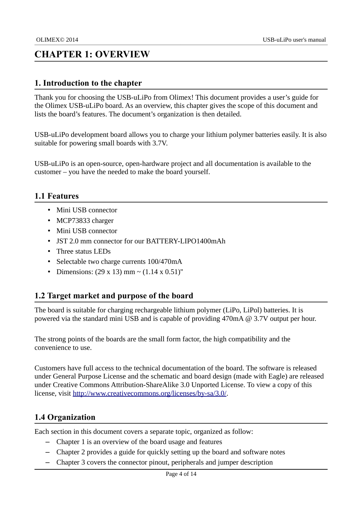## <span id="page-3-4"></span>**CHAPTER 1: OVERVIEW**

#### <span id="page-3-3"></span>**1. Introduction to the chapter**

Thank you for choosing the USB-uLiPo from Olimex! This document provides a user's guide for the Olimex USB-uLiPo board. As an overview, this chapter gives the scope of this document and lists the board's features. The document's organization is then detailed.

USB-uLiPo development board allows you to charge your lithium polymer batteries easily. It is also suitable for powering small boards with 3.7V.

USB-uLiPo is an open-source, open-hardware project and all documentation is available to the customer – you have the needed to make the board yourself.

#### <span id="page-3-2"></span>**1.1 Features**

- Mini USB connector
- MCP73833 charger
- Mini USB connector
- JST 2.0 mm connector for our BATTERY-LIPO1400mAh
- Three status LEDs
- Selectable two charge currents 100/470mA
- Dimensions:  $(29 \times 13)$  mm  $\sim$   $(1.14 \times 0.51)$ "

#### <span id="page-3-1"></span>**1.2 Target market and purpose of the board**

The board is suitable for charging rechargeable lithium polymer (LiPo, LiPol) batteries. It is powered via the standard mini USB and is capable of providing  $470mA$   $@$   $3.7V$  output per hour.

The strong points of the boards are the small form factor, the high compatibility and the convenience to use.

Customers have full access to the technical documentation of the board. The software is released under General Purpose License and the schematic and board design (made with Eagle) are released under Creative Commons Attribution-ShareAlike 3.0 Unported License. To view a copy of this license, visit [http://www.creativecommons.org/licenses/by-sa/3.0/.](http://www.creativecommons.org/licenses/by-sa/3.0/)

#### <span id="page-3-0"></span>**1.4 Organization**

Each section in this document covers a separate topic, organized as follow:

- Chapter 1 is an overview of the board usage and features
- Chapter 2 provides a guide for quickly setting up the board and software notes
- Chapter 3 covers the connector pinout, peripherals and jumper description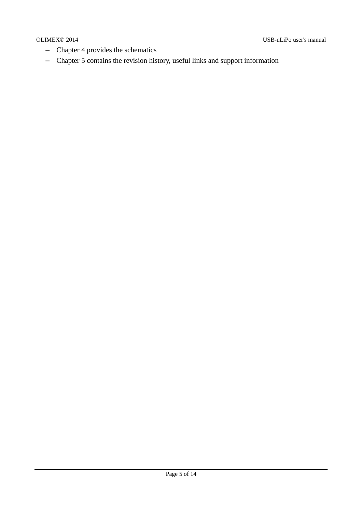- Chapter 4 provides the schematics
- Chapter 5 contains the revision history, useful links and support information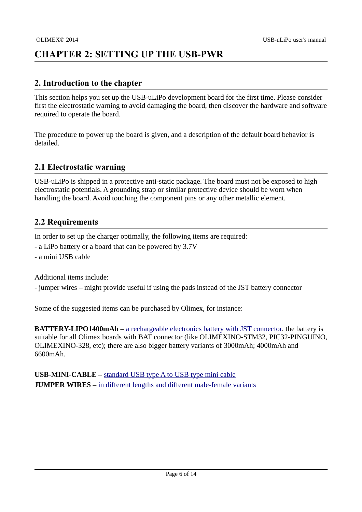## <span id="page-5-3"></span>**CHAPTER 2: SETTING UP THE USB-PWR**

#### <span id="page-5-2"></span>**2. Introduction to the chapter**

This section helps you set up the USB-uLiPo development board for the first time. Please consider first the electrostatic warning to avoid damaging the board, then discover the hardware and software required to operate the board.

The procedure to power up the board is given, and a description of the default board behavior is detailed.

#### <span id="page-5-1"></span>**2.1 Electrostatic warning**

USB-uLiPo is shipped in a protective anti-static package. The board must not be exposed to high electrostatic potentials. A grounding strap or similar protective device should be worn when handling the board. Avoid touching the component pins or any other metallic element.

#### <span id="page-5-0"></span>**2.2 Requirements**

In order to set up the charger optimally, the following items are required:

- a LiPo battery or a board that can be powered by 3.7V
- a mini USB cable

Additional items include:

- jumper wires – might provide useful if using the pads instead of the JST battery connector

Some of the suggested items can be purchased by Olimex, for instance:

**BATTERY-LIPO1400mAh** – [a rechargeable electronics battery with JST connector,](https://www.olimex.com/Products/Power/BATTERY-LIPO1400mAh/) the battery is suitable for all Olimex boards with BAT connector (like OLIMEXINO-STM32, PIC32-PINGUINO, OLIMEXINO-328, etc); there are also bigger battery variants of 3000mAh; 4000mAh and 6600mAh.

**USB-MINI-CABLE –** [standard USB type A to USB type mini cable](https://www.olimex.com/Products/Components/Cables/USB-MINI-CABLE/) **JUMPER WIRES –** [in different lengths and different male-female variants](https://www.olimex.com/Products/Duino/Breadboarding/JUMPER-WIRES/)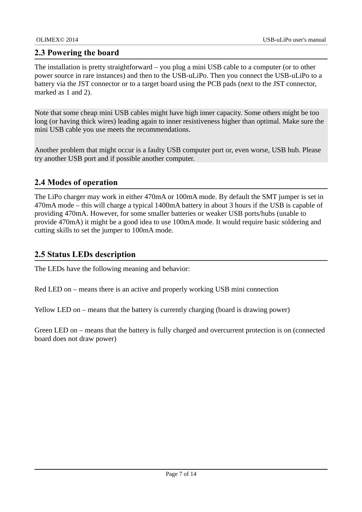#### <span id="page-6-2"></span>**2.3 Powering the board**

The installation is pretty straightforward – you plug a mini USB cable to a computer (or to other power source in rare instances) and then to the USB-uLiPo. Then you connect the USB-uLiPo to a battery via the JST connector or to a target board using the PCB pads (next to the JST connector, marked as 1 and 2).

Note that some cheap mini USB cables might have high inner capacity. Some others might be too long (or having thick wires) leading again to inner resistiveness higher than optimal. Make sure the mini USB cable you use meets the recommendations.

Another problem that might occur is a faulty USB computer port or, even worse, USB hub. Please try another USB port and if possible another computer.

#### <span id="page-6-1"></span>**2.4 Modes of operation**

The LiPo charger may work in either 470mA or 100mA mode. By default the SMT jumper is set in 470mA mode – this will charge a typical 1400mA battery in about 3 hours if the USB is capable of providing 470mA. However, for some smaller batteries or weaker USB ports/hubs (unable to provide 470mA) it might be a good idea to use 100mA mode. It would require basic soldering and cutting skills to set the jumper to 100mA mode.

#### <span id="page-6-0"></span>**2.5 Status LEDs description**

The LEDs have the following meaning and behavior:

Red LED on – means there is an active and properly working USB mini connection

Yellow LED on – means that the battery is currently charging (board is drawing power)

Green LED on – means that the battery is fully charged and overcurrent protection is on (connected board does not draw power)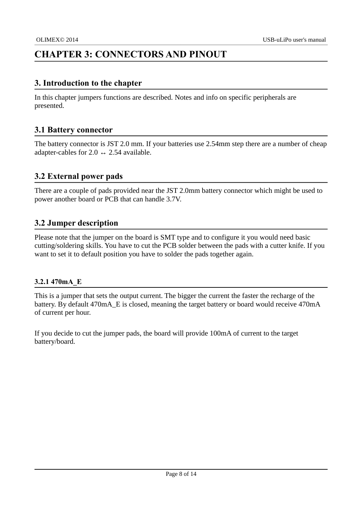## <span id="page-7-5"></span>**CHAPTER 3: CONNECTORS AND PINOUT**

#### <span id="page-7-4"></span>**3. Introduction to the chapter**

In this chapter jumpers functions are described. Notes and info on specific peripherals are presented.

### <span id="page-7-3"></span>**3.1 Battery connector**

The battery connector is JST 2.0 mm. If your batteries use 2.54mm step there are a number of cheap adapter-cables for 2.0  $\leftrightarrow$  2.54 available.

### <span id="page-7-2"></span>**3.2 External power pads**

There are a couple of pads provided near the JST 2.0mm battery connector which might be used to power another board or PCB that can handle 3.7V.

#### <span id="page-7-1"></span>**3.2 Jumper description**

Please note that the jumper on the board is SMT type and to configure it you would need basic cutting/soldering skills. You have to cut the PCB solder between the pads with a cutter knife. If you want to set it to default position you have to solder the pads together again.

#### <span id="page-7-0"></span>**3.2.1 470mA\_E**

This is a jumper that sets the output current. The bigger the current the faster the recharge of the battery. By default 470mA E is closed, meaning the target battery or board would receive 470mA of current per hour.

If you decide to cut the jumper pads, the board will provide 100mA of current to the target battery/board.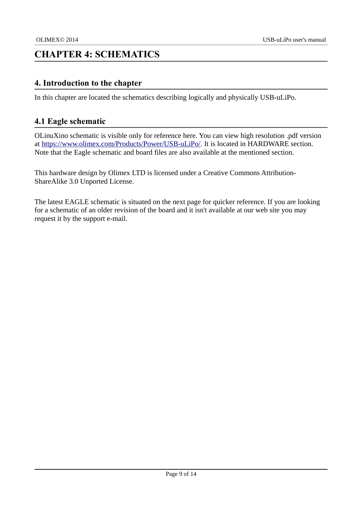## <span id="page-8-2"></span>**CHAPTER 4: SCHEMATICS**

#### <span id="page-8-1"></span>**4. Introduction to the chapter**

In this chapter are located the schematics describing logically and physically USB-uLiPo.

#### <span id="page-8-0"></span>**4.1 Eagle schematic**

OLinuXino schematic is visible only for reference here. You can view high resolution .pdf version at [https://www.olimex.com/Products/Power/USB-uLiPo/.](https://www.olimex.com/Products/Power/USB-uLiPo/) It is located in HARDWARE section. Note that the Eagle schematic and board files are also available at the mentioned section.

This hardware design by Olimex LTD is licensed under a Creative Commons Attribution-ShareAlike 3.0 Unported License.

The latest EAGLE schematic is situated on the next page for quicker reference. If you are looking for a schematic of an older revision of the board and it isn't available at our web site you may request it by the support e-mail.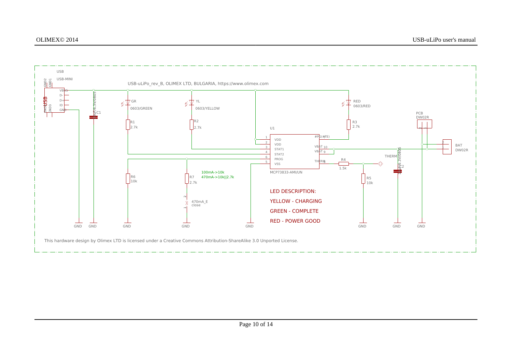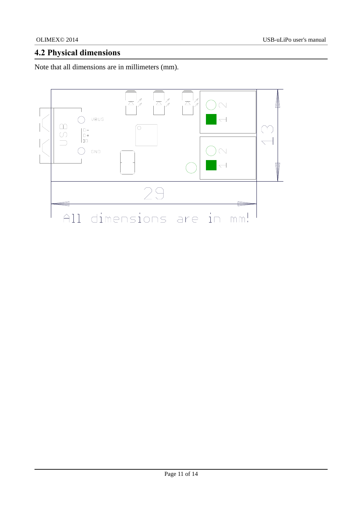## <span id="page-10-0"></span>**4.2 Physical dimensions**

Note that all dimensions are in millimeters (mm).

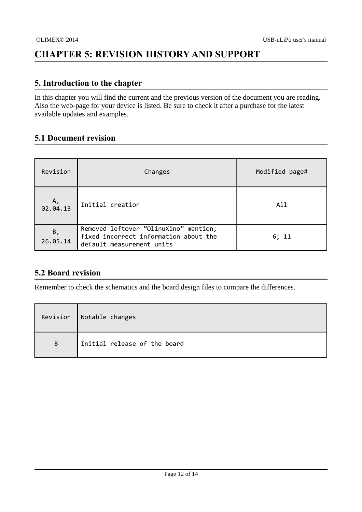## <span id="page-11-3"></span>**CHAPTER 5: REVISION HISTORY AND SUPPORT**

#### <span id="page-11-2"></span>**5. Introduction to the chapter**

In this chapter you will find the current and the previous version of the document you are reading. Also the web-page for your device is listed. Be sure to check it after a purchase for the latest available updates and examples.

### <span id="page-11-1"></span>**5.1 Document revision**

| Revision              | Changes                                                                                                     | Modified page# |
|-----------------------|-------------------------------------------------------------------------------------------------------------|----------------|
| Α,<br>02.04.13        | Initial creation                                                                                            | All            |
| <b>B,</b><br>26.05.14 | Removed leftover "OlinuXino" mention;<br>fixed incorrect information about the<br>default measurement units | 6; 11          |

### <span id="page-11-0"></span>**5.2 Board revision**

Remember to check the schematics and the board design files to compare the differences.

|   | Revision   Notable changes   |
|---|------------------------------|
| B | Initial release of the board |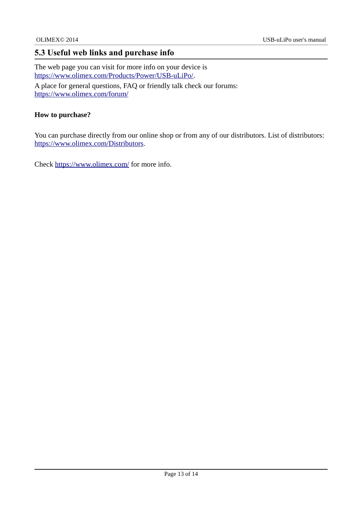### <span id="page-12-0"></span>**5.3 Useful web links and purchase info**

The web page you can visit for more info on your device is [https://www.olimex.com/Products/Power/USB-uLiPo/.](https://www.olimex.com/Products/Power/USB-uLiPo/) A place for general questions, FAQ or friendly talk check our forums: <https://www.olimex.com/forum/>

#### **How to purchase?**

You can purchase directly from our online shop or from any of our distributors. List of distributors: [https://www.olimex.com/Distributors.](https://www.olimex.com/Distributors)

Check<https://www.olimex.com/>for more info.